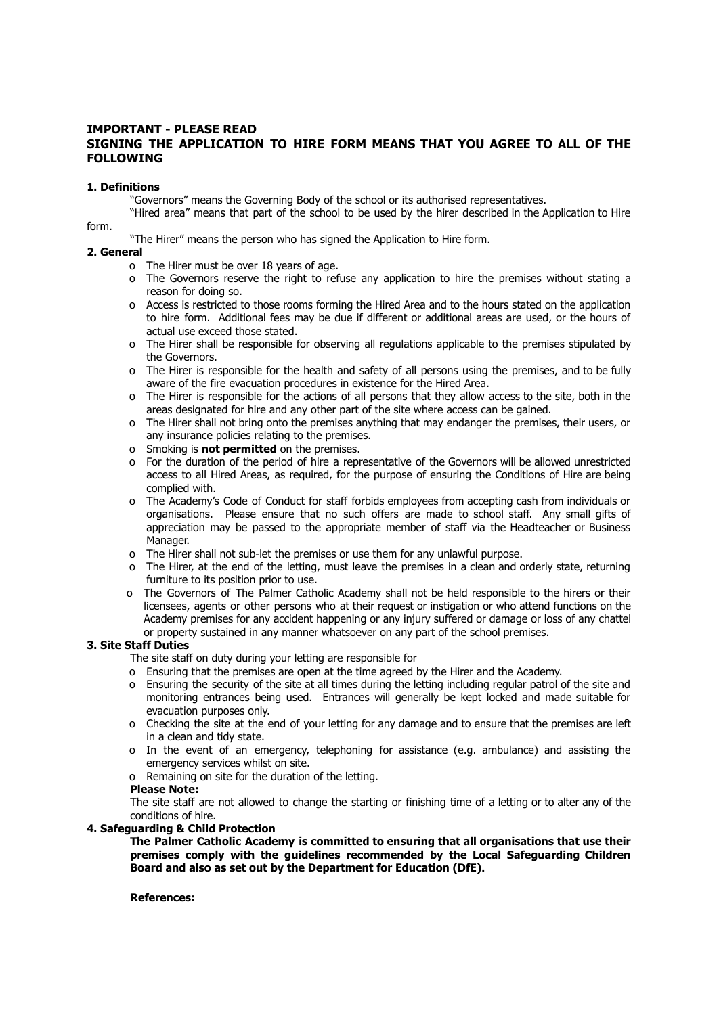## **IMPORTANT - PLEASE READ SIGNING THE APPLICATION TO HIRE FORM MEANS THAT YOU AGREE TO ALL OF THE FOLLOWING**

## **1. Definitions**

"Governors" means the Governing Body of the school or its authorised representatives.

"Hired area" means that part of the school to be used by the hirer described in the Application to Hire form.

"The Hirer" means the person who has signed the Application to Hire form.

#### **2. General**

- o The Hirer must be over 18 years of age.
- o The Governors reserve the right to refuse any application to hire the premises without stating a reason for doing so.
- o Access is restricted to those rooms forming the Hired Area and to the hours stated on the application to hire form. Additional fees may be due if different or additional areas are used, or the hours of actual use exceed those stated.
- o The Hirer shall be responsible for observing all regulations applicable to the premises stipulated by the Governors.
- o The Hirer is responsible for the health and safety of all persons using the premises, and to be fully aware of the fire evacuation procedures in existence for the Hired Area.
- o The Hirer is responsible for the actions of all persons that they allow access to the site, both in the areas designated for hire and any other part of the site where access can be gained.
- o The Hirer shall not bring onto the premises anything that may endanger the premises, their users, or any insurance policies relating to the premises.
- o Smoking is **not permitted** on the premises.
- o For the duration of the period of hire a representative of the Governors will be allowed unrestricted access to all Hired Areas, as required, for the purpose of ensuring the Conditions of Hire are being complied with.
- o The Academy's Code of Conduct for staff forbids employees from accepting cash from individuals or organisations. Please ensure that no such offers are made to school staff. Any small gifts of appreciation may be passed to the appropriate member of staff via the Headteacher or Business Manager.
- o The Hirer shall not sub-let the premises or use them for any unlawful purpose.
- o The Hirer, at the end of the letting, must leave the premises in a clean and orderly state, returning furniture to its position prior to use.
- o The Governors of The Palmer Catholic Academy shall not be held responsible to the hirers or their licensees, agents or other persons who at their request or instigation or who attend functions on the Academy premises for any accident happening or any injury suffered or damage or loss of any chattel or property sustained in any manner whatsoever on any part of the school premises.

#### **3. Site Staff Duties**

The site staff on duty during your letting are responsible for

- o Ensuring that the premises are open at the time agreed by the Hirer and the Academy.
- o Ensuring the security of the site at all times during the letting including regular patrol of the site and monitoring entrances being used. Entrances will generally be kept locked and made suitable for evacuation purposes only.
- o Checking the site at the end of your letting for any damage and to ensure that the premises are left in a clean and tidy state.
- o In the event of an emergency, telephoning for assistance (e.g. ambulance) and assisting the emergency services whilst on site.
- o Remaining on site for the duration of the letting.

#### **Please Note:**

The site staff are not allowed to change the starting or finishing time of a letting or to alter any of the conditions of hire.

## **4. Safeguarding & Child Protection**

**The Palmer Catholic Academy is committed to ensuring that all organisations that use their premises comply with the guidelines recommended by the Local Safeguarding Children Board and also as set out by the Department for Education (DfE).**

**References:**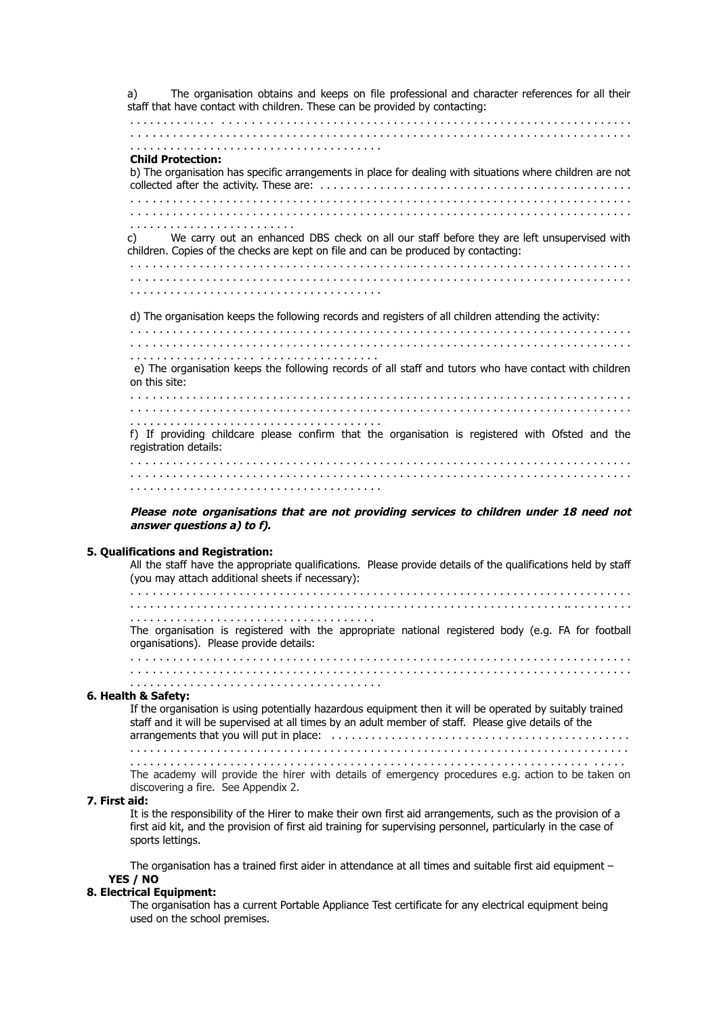a) The organisation obtains and keeps on file professional and character references for all their staff that have contact with children. These can be provided by contacting: . . . . . . . . . . . . . . . . . . . . . . . . . . . . . . . . . . . . . . . . . . . . . . . . . . . . . . . . . . . . . . . . . . . . . . . . . . . . . . . . . . . . . . . . . . . . . . . . . . . . . . . . . . . . . . . . . . . . . . . . . . . . . . . . . . . . . . . . . . . . . . . . . . . . . . . . . . . . . . . . . . . . . . . . . . . . . . . . . . . . . . . . . . . **Child Protection:** b) The organisation has specific arrangements in place for dealing with situations where children are not collected after the activity. These are: . . . . . . . . . . . . . . . . . . . . . . . . . . . . . . . . . . . . . . . . . . . . . . . . . . . . . . . . . . . . . . . . . . . . . . . . . . . . . . . . . . . . . . . . . . . . . . . . . . . . . . . . . . . . . . . . . . . . . . . . . . . . . . . . . . . . . . . . . . . . . . . . . . . . . . . . . . . . . . . . . . . . . . . . . . . . . . . . . . . . . . . . . . . . . . . . . . . . . . . . . . . . . . . . . . . . . . . . . . . . . . c) We carry out an enhanced DBS check on all our staff before they are left unsupervised with children. Copies of the checks are kept on file and can be produced by contacting: . . . . . . . . . . . . . . . . . . . . . . . . . . . . . . . . . . . . . . . . . . . . . . . . . . . . . . . . . . . . . . . . . . . . . . . . . . . . . . . . . . . . . . . . . . . . . . . . . . . . . . . . . . . . . . . . . . . . . . . . . . . . . . . . . . . . . . . . . . . . . . . . . . . . . . . . . . . . . . . . . . . . . . . . . . . . . . . . . . . . . . . . . . . . d) The organisation keeps the following records and registers of all children attending the activity: . . . . . . . . . . . . . . . . . . . . . . . . . . . . . . . . . . . . . . . . . . . . . . . . . . . . . . . . . . . . . . . . . . . . . . . . . . . . . . . . . . . . . . . . . . . . . . . . . . . . . . . . . . . . . . . . . . . . . . . . . . . . . . . . . . . . . . . . . . . . . . . . . . . . . . . . . . . . . . . . . . . . . . . . . . . . . . . . . . . . . . . . . . . e) The organisation keeps the following records of all staff and tutors who have contact with children on this site: . . . . . . . . . . . . . . . . . . . . . . . . . . . . . . . . . . . . . . . . . . . . . . . . . . . . . . . . . . . . . . . . . . . . . . . . . . . . . . . . . . . . . . . . . . . . . . . . . . . . . . . . . . . . . . . . . . . . . . . . . . . . . . . . . . . . . . . . . . . . . . . . . . . . . . . . . . . . . . . . . . . . . . . . . . . . . . . . . . . . . . . . . . . . f) If providing childcare please confirm that the organisation is registered with Ofsted and the registration details: . . . . . . . . . . . . . . . . . . . . . . . . . . . . . . . . . . . . . . . . . . . . . . . . . . . . . . . . . . . . . . . . . . . . . . . . . . . . . . . . . . . . . . . . . . . . . . . . . . . . . . . . . . . . . . . . . . . . . . . . . . . . . . . . . . . . . . . . . . . . . . . . . . . . . . . . . . . . . . . . . . . . . . . . . . . . . . . . . . . . . . . . . . . .

**Please note organisations that are not providing services to children under 18 need not answer questions a) to f).**

#### **5. Qualifications and Registration:**

All the staff have the appropriate qualifications. Please provide details of the qualifications held by staff (you may attach additional sheets if necessary): . . . . . . . . . . . . . . . . . . . . . . . . . . . . . . . . . . . . . . . . . . . . . . . . . . . . . . . . . . . . . . . . . . . . . . . . . . . . . . . . . . . . . . . . . . . . . . . . . . . . . . . . . . . . . . . . . . . . . . . . . . . . . . . . . . . . . . . . . . . . .. . . . . . . . . . . . . . . . . . . . . . . . . . . . . . . . . . . . . . . . . . . . . . . The organisation is registered with the appropriate national registered body (e.g. FA for football organisations). Please provide details: . . . . . . . . . . . . . . . . . . . . . . . . . . . . . . . . . . . . . . . . . . . . . . . . . . . . . . . . . . . . . . . . . . . . . . . . . . . . . . . . . . . . . . . . . . . . . . . . . . . . . . . . . . . . . . . . . . . . . . . . . . . . . . . . . . . . . . . . . . . . . . . . . . . . . . . . . . . . . . . . . . . . . . . . . . . . . . . . . . . . . . . . . . . .

## **6. Health & Safety:**

If the organisation is using potentially hazardous equipment then it will be operated by suitably trained staff and it will be supervised at all times by an adult member of staff. Please give details of the arrangements that you will put in place: . . . . . . . . . . . . . . . . . . . . . . . . . . . . . . . . . . . . . . . . . . . . . . . . . . . . . . . . . . . . . . . . . . . . . . . . . . . . . . . . . . . . . . . . . . . . . . . . . . . . . . . . . . . . . . . . . . . . . . . .

. . . . . . . . . . . . . . . . . . . . . . . . . . . . . . . . . . . . . . . . . . . . . . . . . . . . . . . . . . . . . . . . . . . . . . . . . . The academy will provide the hirer with details of emergency procedures e.g. action to be taken on discovering a fire. See Appendix 2.

#### **7. First aid:**

It is the responsibility of the Hirer to make their own first aid arrangements, such as the provision of a first aid kit, and the provision of first aid training for supervising personnel, particularly in the case of sports lettings.

The organisation has a trained first aider in attendance at all times and suitable first aid equipment – **YES / NO**

## **8. Electrical Equipment:**

The organisation has a current Portable Appliance Test certificate for any electrical equipment being used on the school premises.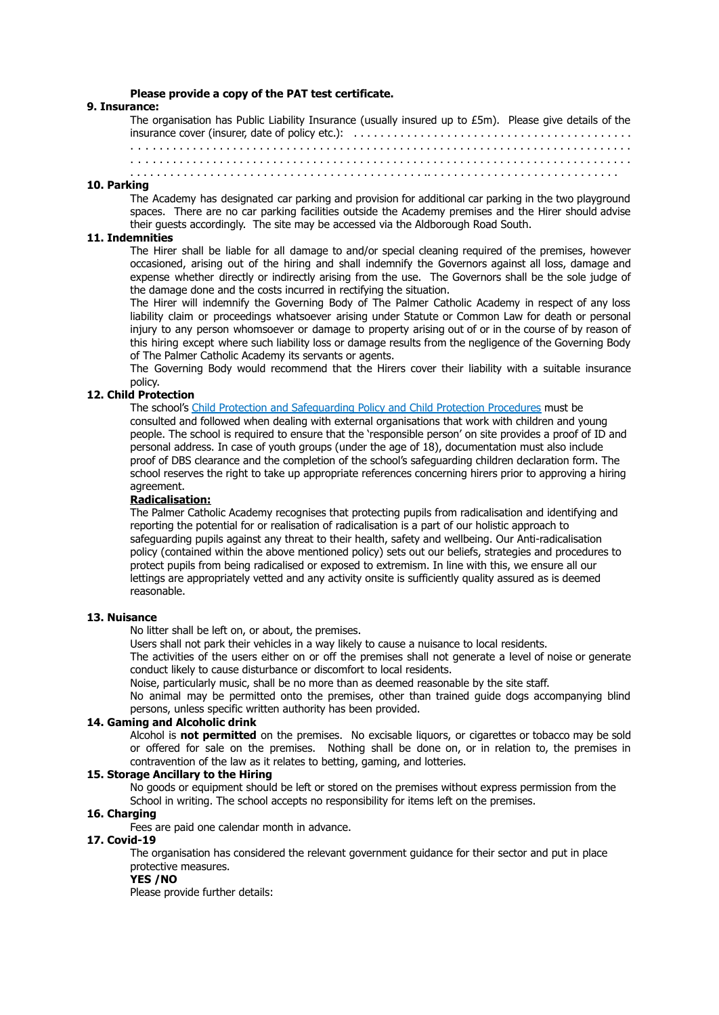#### **Please provide a copy of the PAT test certificate.**

#### **9. Insurance:**

The organisation has Public Liability Insurance (usually insured up to £5m). Please give details of the insurance cover (insurer, date of policy etc.): . . . . . . . . . . . . . . . . . . . . . . . . . . . . . . . . . . . . . . . . . . . . . . . . . . . . . . . . . . . . . . . . . . . . . . . . . . . . . . . . . . . . . . . . . . . . . . . . . . . . . . . . . . . . . . . . . . . . . . . . . . . . . . . . . . . . . . . . . . . . . . . . . . . . . . . . . . . . . . . . . . . . . . . . . . . . . . . . . . . . . . . . . . . . . . . . . . . . . . . . . . . . . . . . . . . . . . . . . . . . . . . . . . . . . . . . . . . . .. . . . . . . . . . . . . . . . . . . . . . . . . . . . .

#### **10. Parking**

The Academy has designated car parking and provision for additional car parking in the two playground spaces. There are no car parking facilities outside the Academy premises and the Hirer should advise their guests accordingly. The site may be accessed via the Aldborough Road South.

## **11. Indemnities**

The Hirer shall be liable for all damage to and/or special cleaning required of the premises, however occasioned, arising out of the hiring and shall indemnify the Governors against all loss, damage and expense whether directly or indirectly arising from the use. The Governors shall be the sole judge of the damage done and the costs incurred in rectifying the situation.

The Hirer will indemnify the Governing Body of The Palmer Catholic Academy in respect of any loss liability claim or proceedings whatsoever arising under Statute or Common Law for death or personal injury to any person whomsoever or damage to property arising out of or in the course of by reason of this hiring except where such liability loss or damage results from the negligence of the Governing Body of The Palmer Catholic Academy its servants or agents.

The Governing Body would recommend that the Hirers cover their liability with a suitable insurance policy.

## **12. Child Protection**

The school's Child Protection and Safeguarding Policy and Child Protection Procedures must be consulted and followed when dealing with external organisations that work with children and young people. The school is required to ensure that the 'responsible person' on site provides a proof of ID and personal address. In case of youth groups (under the age of 18), documentation must also include proof of DBS clearance and the completion of the school's safeguarding children declaration form. The school reserves the right to take up appropriate references concerning hirers prior to approving a hiring agreement.

## **Radicalisation:**

The Palmer Catholic Academy recognises that protecting pupils from radicalisation and identifying and reporting the potential for or realisation of radicalisation is a part of our holistic approach to safeguarding pupils against any threat to their health, safety and wellbeing. Our Anti-radicalisation policy (contained within the above mentioned policy) sets out our beliefs, strategies and procedures to protect pupils from being radicalised or exposed to extremism. In line with this, we ensure all our lettings are appropriately vetted and any activity onsite is sufficiently quality assured as is deemed reasonable.

#### **13. Nuisance**

No litter shall be left on, or about, the premises.

Users shall not park their vehicles in a way likely to cause a nuisance to local residents.

The activities of the users either on or off the premises shall not generate a level of noise or generate conduct likely to cause disturbance or discomfort to local residents.

Noise, particularly music, shall be no more than as deemed reasonable by the site staff.

No animal may be permitted onto the premises, other than trained guide dogs accompanying blind persons, unless specific written authority has been provided.

## **14. Gaming and Alcoholic drink**

Alcohol is **not permitted** on the premises. No excisable liquors, or cigarettes or tobacco may be sold or offered for sale on the premises. Nothing shall be done on, or in relation to, the premises in contravention of the law as it relates to betting, gaming, and lotteries.

#### **15. Storage Ancillary to the Hiring**

No goods or equipment should be left or stored on the premises without express permission from the School in writing. The school accepts no responsibility for items left on the premises.

## **16. Charging**

Fees are paid one calendar month in advance.

## **17. Covid-19**

The organisation has considered the relevant government guidance for their sector and put in place protective measures.

## **YES /NO**

Please provide further details: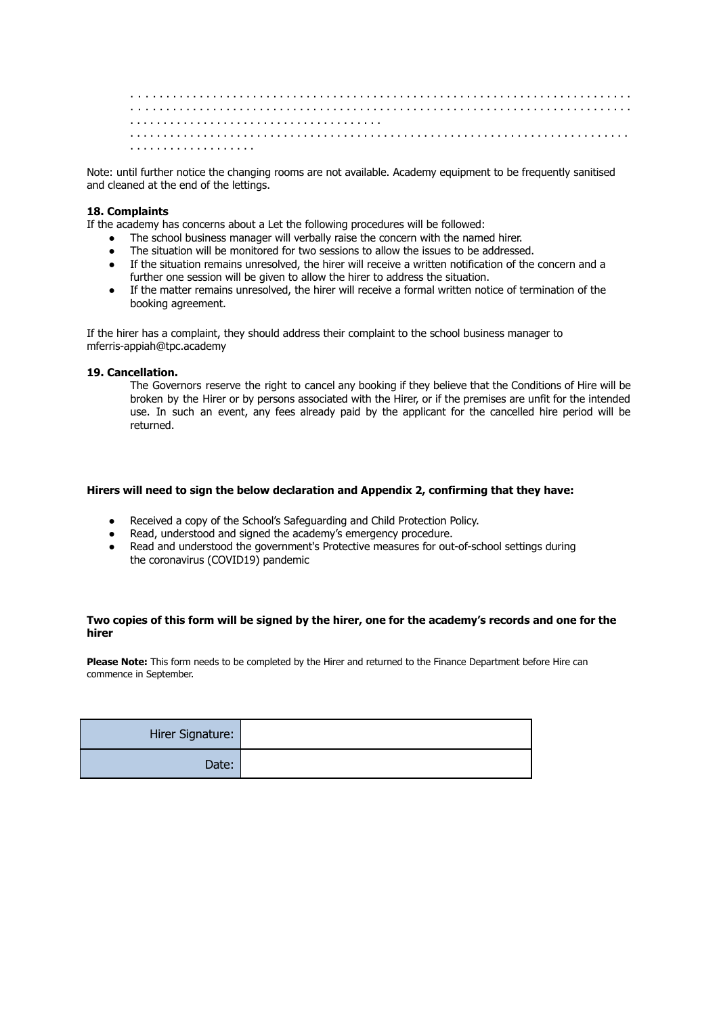. . . . . . . . . . . . . . . . . . . . . . . . . . . . . . . . . . . . . . . . . . . . . . . . . . . . . . . . . . . . . . . . . . . . . . . . . . . . . . . . . . . . . . . . . . . . . . . . . . . . . . . . . . . . . . . . . . . . . . . . . . . . . . . . . . . . . . . . . . . . . . . . . . . . . . . . . . . . . . . . . . . . . . . . . . . . . . . . . . . . . . . . . . . . . . . . . . . . . . . . . . . . . . . . . . . . . . . . . . . . . . . . . . . . . . . . . . . . . . . . . . . . . . . . . . . . . . . . . . . . . . . . . . . . . . . . . . . . . . . . . .

Note: until further notice the changing rooms are not available. Academy equipment to be frequently sanitised and cleaned at the end of the lettings.

## **18. Complaints**

If the academy has concerns about a Let the following procedures will be followed:

- The school business manager will verbally raise the concern with the named hirer.
- The situation will be monitored for two sessions to allow the issues to be addressed.
- If the situation remains unresolved, the hirer will receive a written notification of the concern and a further one session will be given to allow the hirer to address the situation.
- If the matter remains unresolved, the hirer will receive a formal written notice of termination of the booking agreement.

If the hirer has a complaint, they should address their complaint to the school business manager to mferris-appiah@tpc.academy

#### **19. Cancellation.**

The Governors reserve the right to cancel any booking if they believe that the Conditions of Hire will be broken by the Hirer or by persons associated with the Hirer, or if the premises are unfit for the intended use. In such an event, any fees already paid by the applicant for the cancelled hire period will be returned.

#### **Hirers will need to sign the below declaration and Appendix 2, confirming that they have:**

- Received a copy of the School's Safeguarding and Child Protection Policy.
- Read, understood and signed the academy's emergency procedure.<br>● Read and understood the government's Protective measures for out
- Read and understood the government's Protective measures for out-of-school settings during the coronavirus (COVID19) pandemic

## **Two copies of this form will be signed by the hirer, one for the academy's records and one for the hirer**

**Please Note:** This form needs to be completed by the Hirer and returned to the Finance Department before Hire can commence in September.

| Hirer Signature: |  |
|------------------|--|
| Date:            |  |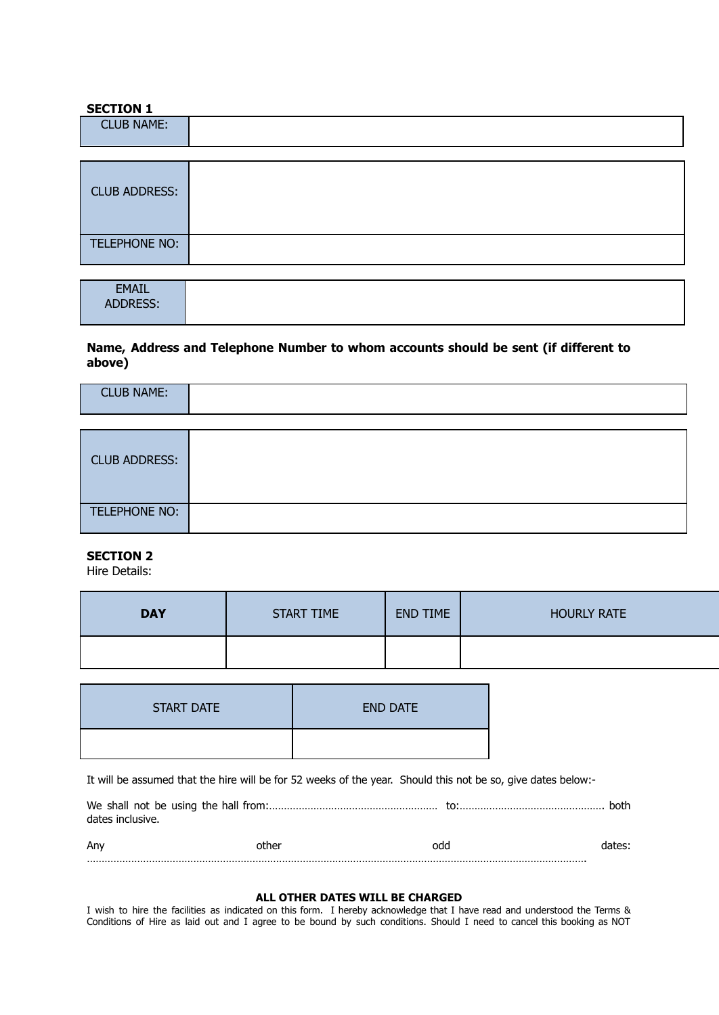## **SECTION 1**

TELEPHONE NO:

| <b>CLUB NAME:</b>    |  |
|----------------------|--|
|                      |  |
| <b>CLUB ADDRESS:</b> |  |

| <b>EMAIL</b> |
|--------------|
|              |
| $- - - -$    |
| ADDRESS:     |
|              |
|              |

## **Name, Address and Telephone Number to whom accounts should be sent (if different to above)**

| <b>CLUB NAME:</b> |
|-------------------|
|                   |

| <b>CLUB ADDRESS:</b> |  |
|----------------------|--|
| TELEPHONE NO:        |  |

## **SECTION 2**

Hire Details:

| <b>DAY</b> | <b>START TIME</b> | <b>END TIME</b> | <b>HOURLY RATE</b> |
|------------|-------------------|-----------------|--------------------|
|            |                   |                 |                    |

| <b>START DATE</b> | <b>END DATE</b> |
|-------------------|-----------------|
|                   |                 |

It will be assumed that the hire will be for 52 weeks of the year. Should this not be so, give dates below:-

| dates inclusive. |       |     |        |
|------------------|-------|-----|--------|
| Anv              | other | odd | dates: |

## …………………………………………………………………………………………………………………………………………………….

## **ALL OTHER DATES WILL BE CHARGED**

I wish to hire the facilities as indicated on this form. I hereby acknowledge that I have read and understood the Terms & Conditions of Hire as laid out and I agree to be bound by such conditions. Should I need to cancel this booking as NOT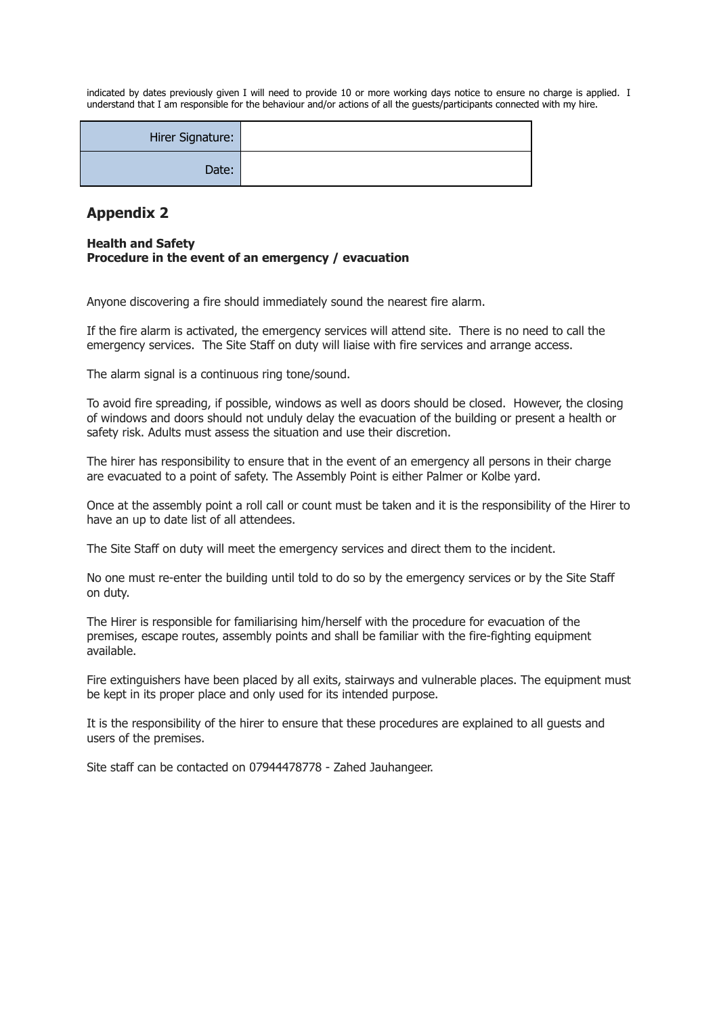indicated by dates previously given I will need to provide 10 or more working days notice to ensure no charge is applied. I understand that I am responsible for the behaviour and/or actions of all the guests/participants connected with my hire.

| Hirer Signature: |
|------------------|
| Date:            |

# **Appendix 2**

## **Health and Safety Procedure in the event of an emergency / evacuation**

Anyone discovering a fire should immediately sound the nearest fire alarm.

If the fire alarm is activated, the emergency services will attend site. There is no need to call the emergency services. The Site Staff on duty will liaise with fire services and arrange access.

The alarm signal is a continuous ring tone/sound.

To avoid fire spreading, if possible, windows as well as doors should be closed. However, the closing of windows and doors should not unduly delay the evacuation of the building or present a health or safety risk. Adults must assess the situation and use their discretion.

The hirer has responsibility to ensure that in the event of an emergency all persons in their charge are evacuated to a point of safety. The Assembly Point is either Palmer or Kolbe yard.

Once at the assembly point a roll call or count must be taken and it is the responsibility of the Hirer to have an up to date list of all attendees.

The Site Staff on duty will meet the emergency services and direct them to the incident.

No one must re-enter the building until told to do so by the emergency services or by the Site Staff on duty.

The Hirer is responsible for familiarising him/herself with the procedure for evacuation of the premises, escape routes, assembly points and shall be familiar with the fire-fighting equipment available.

Fire extinguishers have been placed by all exits, stairways and vulnerable places. The equipment must be kept in its proper place and only used for its intended purpose.

It is the responsibility of the hirer to ensure that these procedures are explained to all guests and users of the premises.

Site staff can be contacted on 07944478778 - Zahed Jauhangeer.